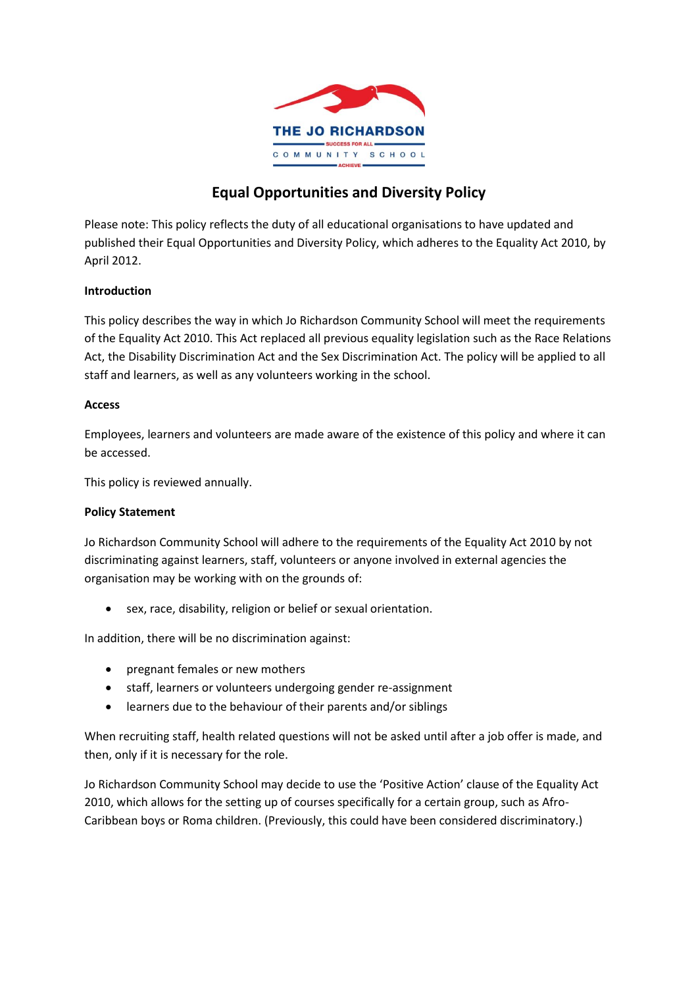

# **Equal Opportunities and Diversity Policy**

Please note: This policy reflects the duty of all educational organisations to have updated and published their Equal Opportunities and Diversity Policy, which adheres to the Equality Act 2010, by April 2012.

# **Introduction**

This policy describes the way in which Jo Richardson Community School will meet the requirements of the Equality Act 2010. This Act replaced all previous equality legislation such as the Race Relations Act, the Disability Discrimination Act and the Sex Discrimination Act. The policy will be applied to all staff and learners, as well as any volunteers working in the school.

# **Access**

Employees, learners and volunteers are made aware of the existence of this policy and where it can be accessed.

This policy is reviewed annually.

# **Policy Statement**

Jo Richardson Community School will adhere to the requirements of the Equality Act 2010 by not discriminating against learners, staff, volunteers or anyone involved in external agencies the organisation may be working with on the grounds of:

sex, race, disability, religion or belief or sexual orientation.

In addition, there will be no discrimination against:

- pregnant females or new mothers
- staff, learners or volunteers undergoing gender re-assignment
- learners due to the behaviour of their parents and/or siblings

When recruiting staff, health related questions will not be asked until after a job offer is made, and then, only if it is necessary for the role.

Jo Richardson Community School may decide to use the 'Positive Action' clause of the Equality Act 2010, which allows for the setting up of courses specifically for a certain group, such as Afro-Caribbean boys or Roma children. (Previously, this could have been considered discriminatory.)